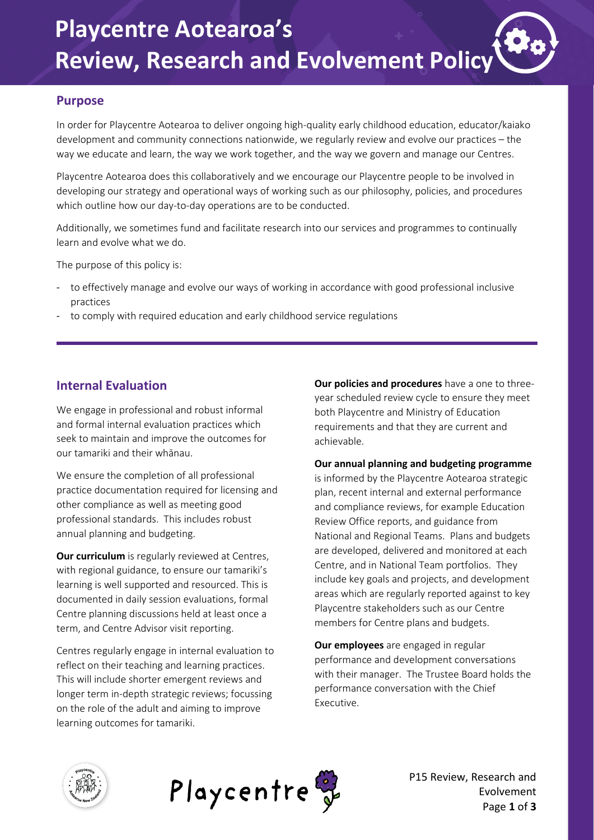#### **Purpose**

In order for Playcentre Aotearoa to deliver ongoing high-quality early childhood education, educator/kaiako development and community connections nationwide, we regularly review and evolve our practices – the way we educate and learn, the way we work together, and the way we govern and manage our Centres.

Playcentre Aotearoa does this collaboratively and we encourage our Playcentre people to be involved in developing our strategy and operational ways of working such as our philosophy, policies, and procedures which outline how our day-to-day operations are to be conducted.

Additionally, we sometimes fund and facilitate research into our services and programmes to continually learn and evolve what we do.

The purpose of this policy is:

- to effectively manage and evolve our ways of working in accordance with good professional inclusive practices
- to comply with required education and early childhood service regulations

### **Internal Evaluation**

We engage in professional and robust informal and formal internal evaluation practices which seek to maintain and improve the outcomes for our tamariki and their whānau.

We ensure the completion of all professional practice documentation required for licensing and other compliance as well as meeting good professional standards. This includes robust annual planning and budgeting.

**Our curriculum** is regularly reviewed at Centres, with regional guidance, to ensure our tamariki's learning is well supported and resourced. This is documented in daily session evaluations, formal Centre planning discussions held at least once a term, and Centre Advisor visit reporting.

Centres regularly engage in internal evaluation to reflect on their teaching and learning practices. This will include shorter emergent reviews and longer term in-depth strategic reviews; focussing on the role of the adult and aiming to improve learning outcomes for tamariki.

**Our policies and procedures** have a one to threeyear scheduled review cycle to ensure they meet both Playcentre and Ministry of Education requirements and that they are current and achievable.

**Our annual planning and budgeting programme** is informed by the Playcentre Aotearoa strategic plan, recent internal and external performance and compliance reviews, for example Education Review Office reports, and guidance from National and Regional Teams. Plans and budgets are developed, delivered and monitored at each Centre, and in National Team portfolios. They include key goals and projects, and development areas which are regularly reported against to key Playcentre stakeholders such as our Centre members for Centre plans and budgets.

**Our employees** are engaged in regular performance and development conversations with their manager. The Trustee Board holds the performance conversation with the Chief Executive.





P15 Review, Research and Evolvement Page **1** of **3**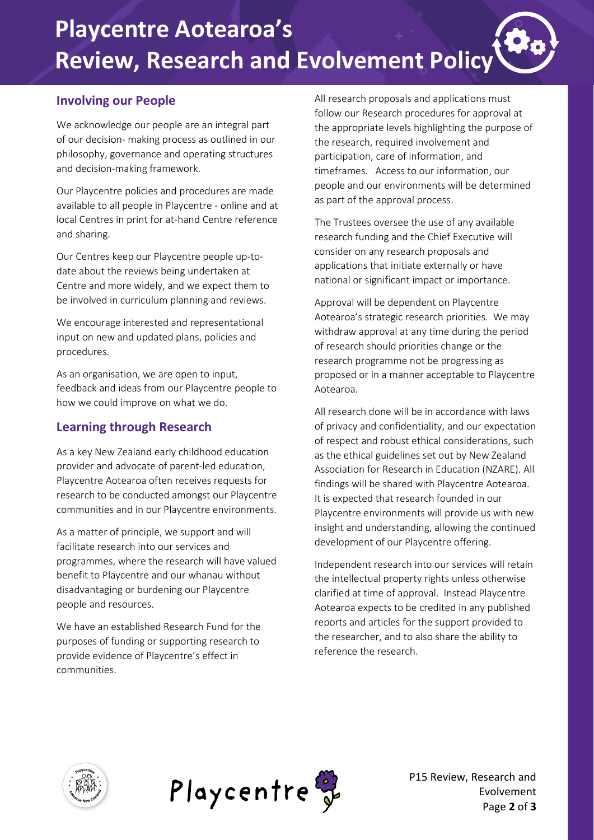## **Involving our People**

We acknowledge our people are an integral part of our decision- making process as outlined in our philosophy, governance and operating structures and decision-making framework.

Our Playcentre policies and procedures are made available to all people in Playcentre - online and at local Centres in print for at-hand Centre reference and sharing.

Our Centres keep our Playcentre people up-todate about the reviews being undertaken at Centre and more widely, and we expect them to be involved in curriculum planning and reviews.

We encourage interested and representational input on new and updated plans, policies and procedures.

As an organisation, we are open to input, feedback and ideas from our Playcentre people to how we could improve on what we do.

## **Learning through Research**

As a key New Zealand early childhood education provider and advocate of parent-led education, Playcentre Aotearoa often receives requests for research to be conducted amongst our Playcentre communities and in our Playcentre environments.

As a matter of principle, we support and will facilitate research into our services and programmes, where the research will have valued benefit to Playcentre and our whanau without disadvantaging or burdening our Playcentre people and resources.

We have an established Research Fund for the purposes of funding or supporting research to provide evidence of Playcentre's effect in communities.

All research proposals and applications must follow our Research procedures for approval at the appropriate levels highlighting the purpose of the research, required involvement and participation, care of information, and timeframes. Access to our information, our people and our environments will be determined as part of the approval process.

The Trustees oversee the use of any available research funding and the Chief Executive will consider on any research proposals and applications that initiate externally or have national or significant impact or importance.

Approval will be dependent on Playcentre Aotearoa's strategic research priorities. We may withdraw approval at any time during the period of research should priorities change or the research programme not be progressing as proposed or in a manner acceptable to Playcentre Aotearoa.

All research done will be in accordance with laws of privacy and confidentiality, and our expectation of respect and robust ethical considerations, such as the ethical guidelines set out by New Zealand Association for Research in Education (NZARE). All findings will be shared with Playcentre Aotearoa. It is expected that research founded in our Playcentre environments will provide us with new insight and understanding, allowing the continued development of our Playcentre offering.

Independent research into our services will retain the intellectual property rights unless otherwise clarified at time of approval. Instead Playcentre Aotearoa expects to be credited in any published reports and articles for the support provided to the researcher, and to also share the ability to reference the research.